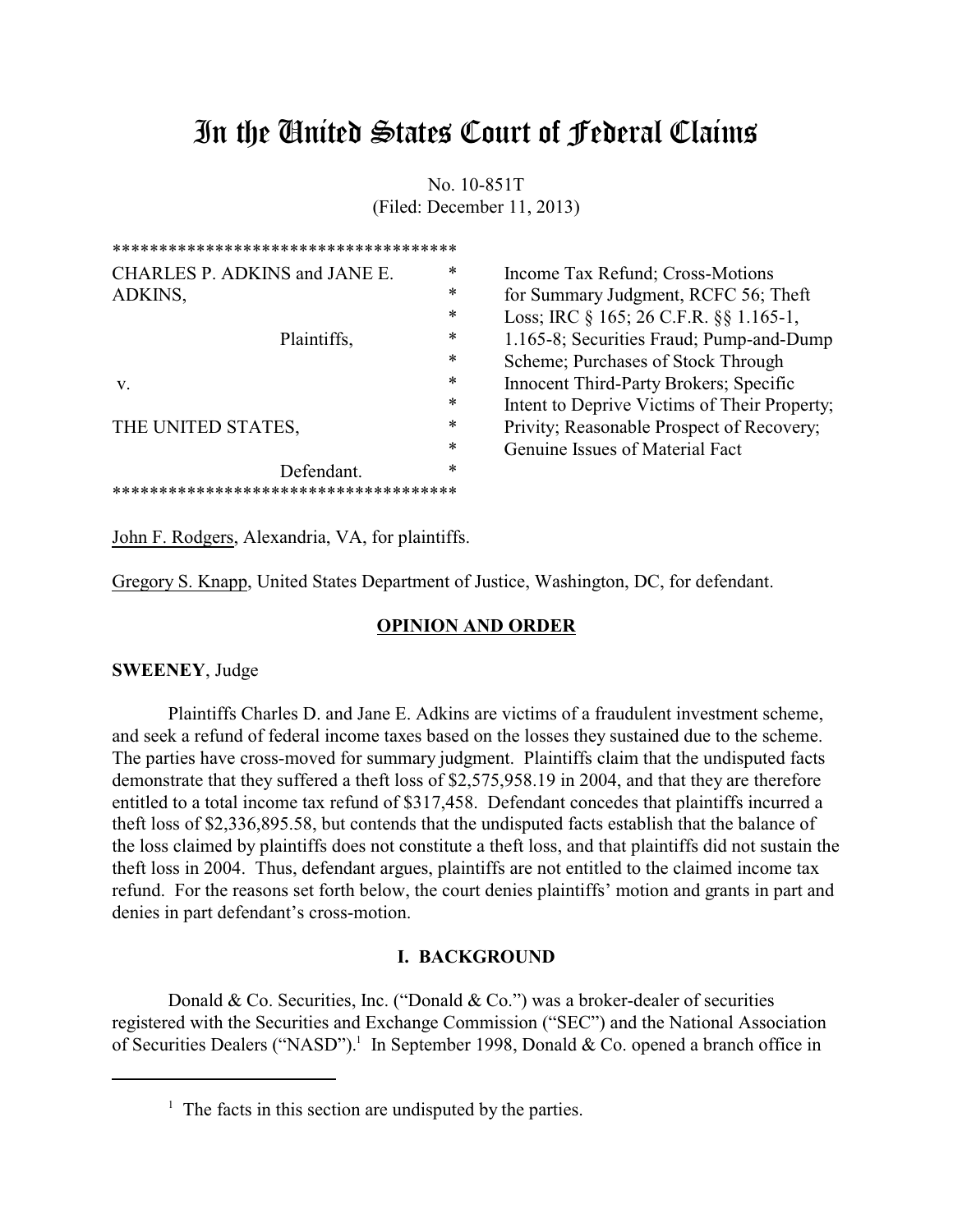# In the United States Court of Federal Claims

No. 10-851T (Filed: December 11, 2013)

| ************************************* |        |                                              |
|---------------------------------------|--------|----------------------------------------------|
| CHARLES P. ADKINS and JANE E.         | $\ast$ | Income Tax Refund; Cross-Motions             |
| ADKINS,                               | $\ast$ | for Summary Judgment, RCFC 56; Theft         |
|                                       | ∗      | Loss; IRC § 165; 26 C.F.R. §§ 1.165-1,       |
| Plaintiffs,                           | ∗      | 1.165-8; Securities Fraud; Pump-and-Dump     |
|                                       | ∗      | Scheme; Purchases of Stock Through           |
| V.                                    | $\ast$ | Innocent Third-Party Brokers; Specific       |
|                                       | $\ast$ | Intent to Deprive Victims of Their Property; |
| THE UNITED STATES,                    | ∗      | Privity; Reasonable Prospect of Recovery;    |
|                                       | ∗      | Genuine Issues of Material Fact              |
| Defendant.                            | *      |                                              |
| *************************             |        |                                              |

John F. Rodgers, Alexandria, VA, for plaintiffs.

Gregory S. Knapp, United States Department of Justice, Washington, DC, for defendant.

## **OPINION AND ORDER**

# **SWEENEY**, Judge

Plaintiffs Charles D. and Jane E. Adkins are victims of a fraudulent investment scheme, and seek a refund of federal income taxes based on the losses they sustained due to the scheme. The parties have cross-moved for summary judgment. Plaintiffs claim that the undisputed facts demonstrate that they suffered a theft loss of \$2,575,958.19 in 2004, and that they are therefore entitled to a total income tax refund of \$317,458. Defendant concedes that plaintiffs incurred a theft loss of \$2,336,895.58, but contends that the undisputed facts establish that the balance of the loss claimed by plaintiffs does not constitute a theft loss, and that plaintiffs did not sustain the theft loss in 2004. Thus, defendant argues, plaintiffs are not entitled to the claimed income tax refund. For the reasons set forth below, the court denies plaintiffs' motion and grants in part and denies in part defendant's cross-motion.

#### **I. BACKGROUND**

Donald & Co. Securities, Inc. ("Donald & Co.") was a broker-dealer of securities registered with the Securities and Exchange Commission ("SEC") and the National Association of Securities Dealers ("NASD").<sup>1</sup> In September 1998, Donald & Co. opened a branch office in

<sup>&</sup>lt;sup>1</sup> The facts in this section are undisputed by the parties.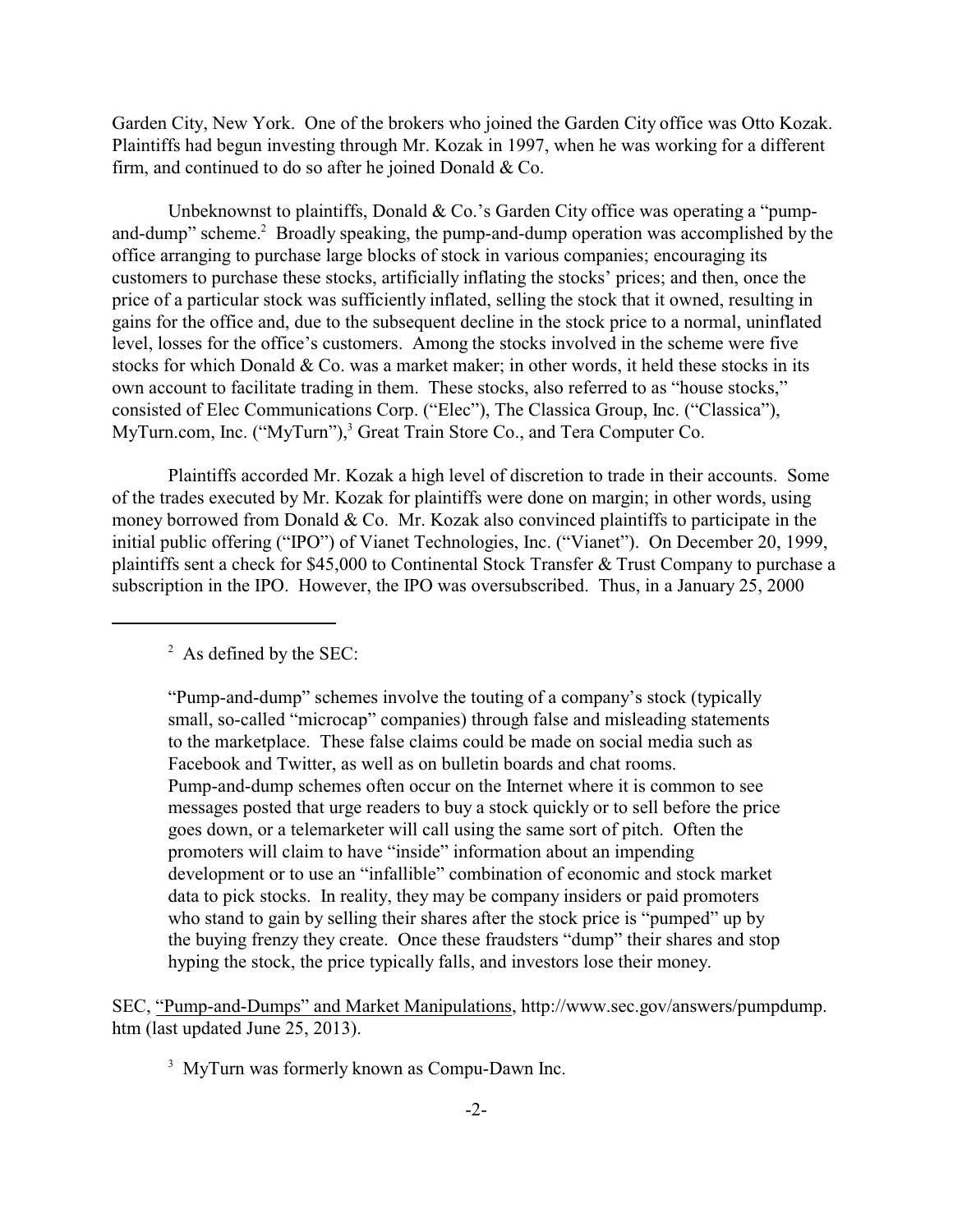Garden City, New York. One of the brokers who joined the Garden City office was Otto Kozak. Plaintiffs had begun investing through Mr. Kozak in 1997, when he was working for a different firm, and continued to do so after he joined Donald & Co.

Unbeknownst to plaintiffs, Donald & Co.'s Garden City office was operating a "pumpand-dump" scheme.<sup>2</sup> Broadly speaking, the pump-and-dump operation was accomplished by the office arranging to purchase large blocks of stock in various companies; encouraging its customers to purchase these stocks, artificially inflating the stocks' prices; and then, once the price of a particular stock was sufficiently inflated, selling the stock that it owned, resulting in gains for the office and, due to the subsequent decline in the stock price to a normal, uninflated level, losses for the office's customers. Among the stocks involved in the scheme were five stocks for which Donald & Co. was a market maker; in other words, it held these stocks in its own account to facilitate trading in them. These stocks, also referred to as "house stocks," consisted of Elec Communications Corp. ("Elec"), The Classica Group, Inc. ("Classica"), MyTurn.com, Inc. ("MyTurn"),<sup>3</sup> Great Train Store Co., and Tera Computer Co.

Plaintiffs accorded Mr. Kozak a high level of discretion to trade in their accounts. Some of the trades executed by Mr. Kozak for plaintiffs were done on margin; in other words, using money borrowed from Donald & Co. Mr. Kozak also convinced plaintiffs to participate in the initial public offering ("IPO") of Vianet Technologies, Inc. ("Vianet"). On December 20, 1999, plaintiffs sent a check for \$45,000 to Continental Stock Transfer & Trust Company to purchase a subscription in the IPO. However, the IPO was oversubscribed. Thus, in a January 25, 2000

# $2^2$  As defined by the SEC:

"Pump-and-dump" schemes involve the touting of a company's stock (typically small, so-called "microcap" companies) through false and misleading statements to the marketplace. These false claims could be made on social media such as Facebook and Twitter, as well as on bulletin boards and chat rooms. Pump-and-dump schemes often occur on the Internet where it is common to see messages posted that urge readers to buy a stock quickly or to sell before the price goes down, or a telemarketer will call using the same sort of pitch. Often the promoters will claim to have "inside" information about an impending development or to use an "infallible" combination of economic and stock market data to pick stocks. In reality, they may be company insiders or paid promoters who stand to gain by selling their shares after the stock price is "pumped" up by the buying frenzy they create. Once these fraudsters "dump" their shares and stop hyping the stock, the price typically falls, and investors lose their money.

SEC, "Pump-and-Dumps" and Market Manipulations, http://www.sec.gov/answers/pumpdump. htm (last updated June 25, 2013).

<sup>3</sup> MyTurn was formerly known as Compu-Dawn Inc.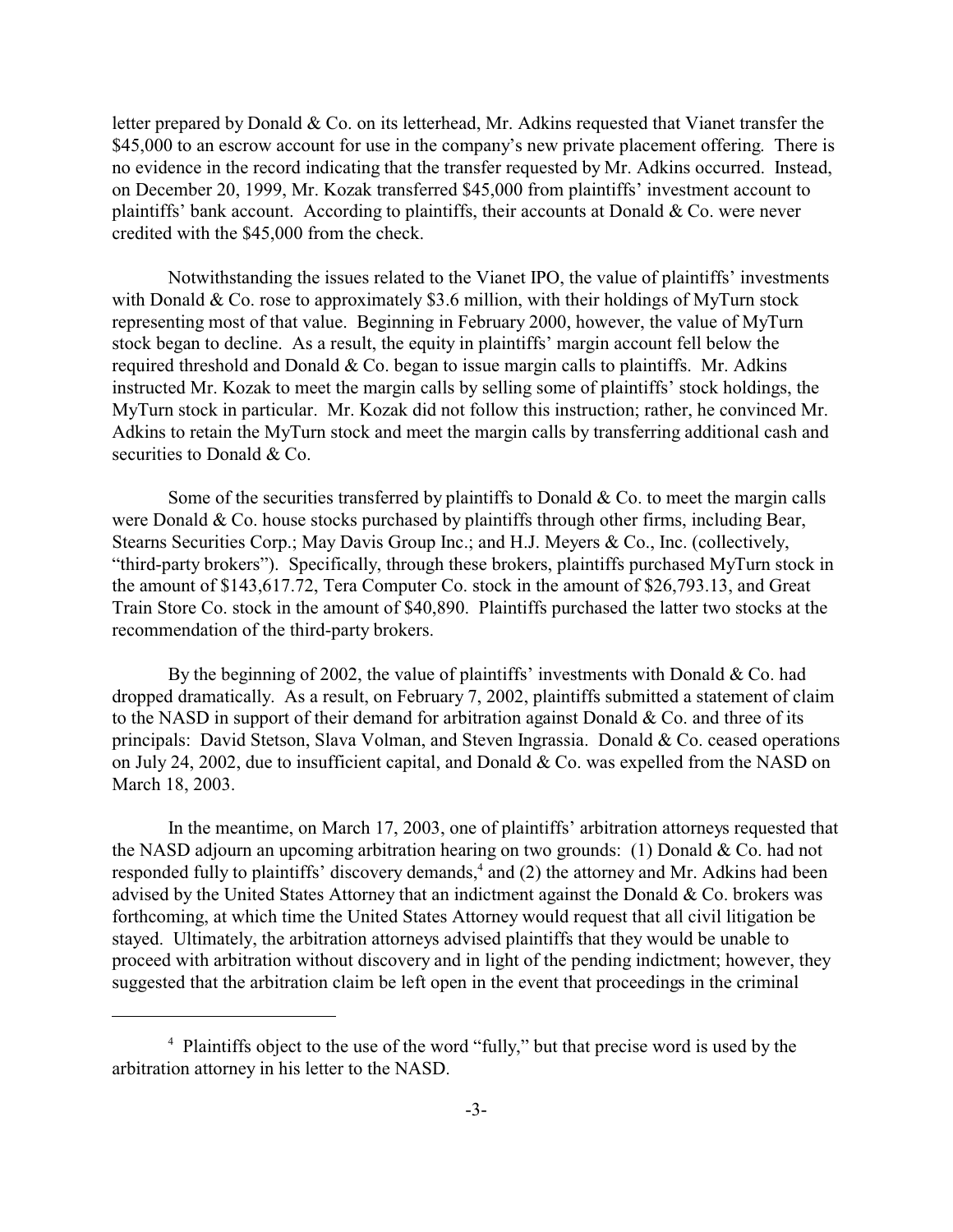letter prepared by Donald & Co. on its letterhead, Mr. Adkins requested that Vianet transfer the \$45,000 to an escrow account for use in the company's new private placement offering. There is no evidence in the record indicating that the transfer requested by Mr. Adkins occurred. Instead, on December 20, 1999, Mr. Kozak transferred \$45,000 from plaintiffs' investment account to plaintiffs' bank account. According to plaintiffs, their accounts at Donald  $& Co$ . were never credited with the \$45,000 from the check.

Notwithstanding the issues related to the Vianet IPO, the value of plaintiffs' investments with Donald & Co. rose to approximately \$3.6 million, with their holdings of MyTurn stock representing most of that value. Beginning in February 2000, however, the value of MyTurn stock began to decline. As a result, the equity in plaintiffs' margin account fell below the required threshold and Donald  $& Co.$  began to issue margin calls to plaintiffs. Mr. Adkins instructed Mr. Kozak to meet the margin calls by selling some of plaintiffs' stock holdings, the MyTurn stock in particular. Mr. Kozak did not follow this instruction; rather, he convinced Mr. Adkins to retain the MyTurn stock and meet the margin calls by transferring additional cash and securities to Donald & Co.

Some of the securities transferred by plaintiffs to Donald  $& Co.$  to meet the margin calls were Donald & Co. house stocks purchased by plaintiffs through other firms, including Bear, Stearns Securities Corp.; May Davis Group Inc.; and H.J. Meyers & Co., Inc. (collectively, "third-party brokers"). Specifically, through these brokers, plaintiffs purchased MyTurn stock in the amount of \$143,617.72, Tera Computer Co. stock in the amount of \$26,793.13, and Great Train Store Co. stock in the amount of \$40,890. Plaintiffs purchased the latter two stocks at the recommendation of the third-party brokers.

By the beginning of 2002, the value of plaintiffs' investments with Donald & Co. had dropped dramatically. As a result, on February 7, 2002, plaintiffs submitted a statement of claim to the NASD in support of their demand for arbitration against Donald & Co. and three of its principals: David Stetson, Slava Volman, and Steven Ingrassia. Donald & Co. ceased operations on July 24, 2002, due to insufficient capital, and Donald & Co. was expelled from the NASD on March 18, 2003.

In the meantime, on March 17, 2003, one of plaintiffs' arbitration attorneys requested that the NASD adjourn an upcoming arbitration hearing on two grounds: (1) Donald & Co. had not responded fully to plaintiffs' discovery demands,<sup>4</sup> and (2) the attorney and Mr. Adkins had been advised by the United States Attorney that an indictment against the Donald & Co. brokers was forthcoming, at which time the United States Attorney would request that all civil litigation be stayed. Ultimately, the arbitration attorneys advised plaintiffs that they would be unable to proceed with arbitration without discovery and in light of the pending indictment; however, they suggested that the arbitration claim be left open in the event that proceedings in the criminal

<sup>&</sup>lt;sup>4</sup> Plaintiffs object to the use of the word "fully," but that precise word is used by the arbitration attorney in his letter to the NASD.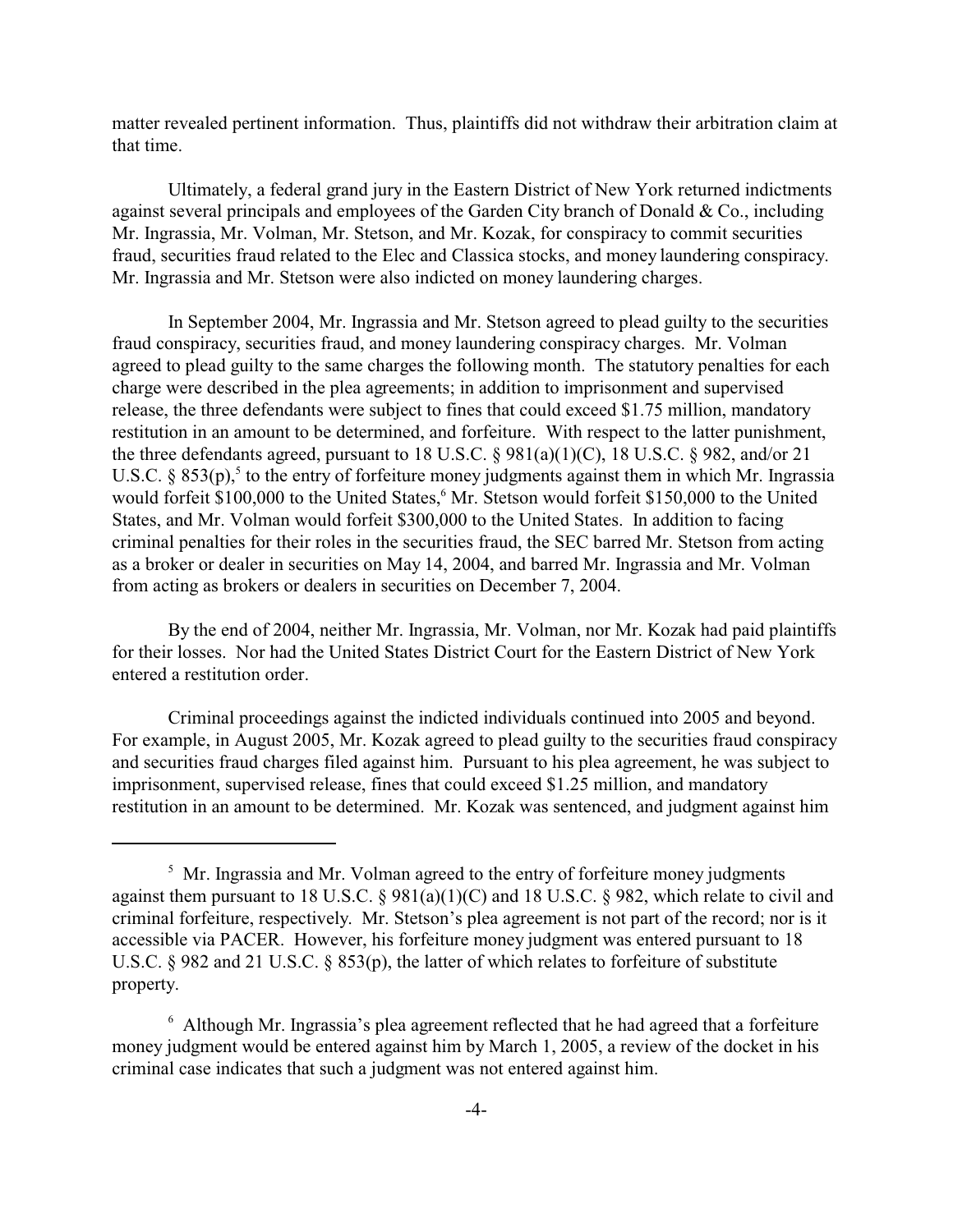matter revealed pertinent information. Thus, plaintiffs did not withdraw their arbitration claim at that time.

Ultimately, a federal grand jury in the Eastern District of New York returned indictments against several principals and employees of the Garden City branch of Donald & Co., including Mr. Ingrassia, Mr. Volman, Mr. Stetson, and Mr. Kozak, for conspiracy to commit securities fraud, securities fraud related to the Elec and Classica stocks, and money laundering conspiracy. Mr. Ingrassia and Mr. Stetson were also indicted on money laundering charges.

In September 2004, Mr. Ingrassia and Mr. Stetson agreed to plead guilty to the securities fraud conspiracy, securities fraud, and money laundering conspiracy charges. Mr. Volman agreed to plead guilty to the same charges the following month. The statutory penalties for each charge were described in the plea agreements; in addition to imprisonment and supervised release, the three defendants were subject to fines that could exceed \$1.75 million, mandatory restitution in an amount to be determined, and forfeiture. With respect to the latter punishment, the three defendants agreed, pursuant to 18 U.S.C. § 981(a)(1)(C), 18 U.S.C. § 982, and/or 21 U.S.C. §  $853(p)$ ,<sup>5</sup> to the entry of forfeiture money judgments against them in which Mr. Ingrassia would forfeit \$100,000 to the United States, Mr. Stetson would forfeit \$150,000 to the United States, and Mr. Volman would forfeit \$300,000 to the United States. In addition to facing criminal penalties for their roles in the securities fraud, the SEC barred Mr. Stetson from acting as a broker or dealer in securities on May 14, 2004, and barred Mr. Ingrassia and Mr. Volman from acting as brokers or dealers in securities on December 7, 2004.

By the end of 2004, neither Mr. Ingrassia, Mr. Volman, nor Mr. Kozak had paid plaintiffs for their losses. Nor had the United States District Court for the Eastern District of New York entered a restitution order.

Criminal proceedings against the indicted individuals continued into 2005 and beyond. For example, in August 2005, Mr. Kozak agreed to plead guilty to the securities fraud conspiracy and securities fraud charges filed against him. Pursuant to his plea agreement, he was subject to imprisonment, supervised release, fines that could exceed \$1.25 million, and mandatory restitution in an amount to be determined. Mr. Kozak was sentenced, and judgment against him

<sup>&</sup>lt;sup>5</sup> Mr. Ingrassia and Mr. Volman agreed to the entry of forfeiture money judgments against them pursuant to 18 U.S.C. § 981(a)(1)(C) and 18 U.S.C. § 982, which relate to civil and criminal forfeiture, respectively. Mr. Stetson's plea agreement is not part of the record; nor is it accessible via PACER. However, his forfeiture money judgment was entered pursuant to 18 U.S.C. § 982 and 21 U.S.C. § 853(p), the latter of which relates to forfeiture of substitute property.

<sup>&</sup>lt;sup>6</sup> Although Mr. Ingrassia's plea agreement reflected that he had agreed that a forfeiture money judgment would be entered against him by March 1, 2005, a review of the docket in his criminal case indicates that such a judgment was not entered against him.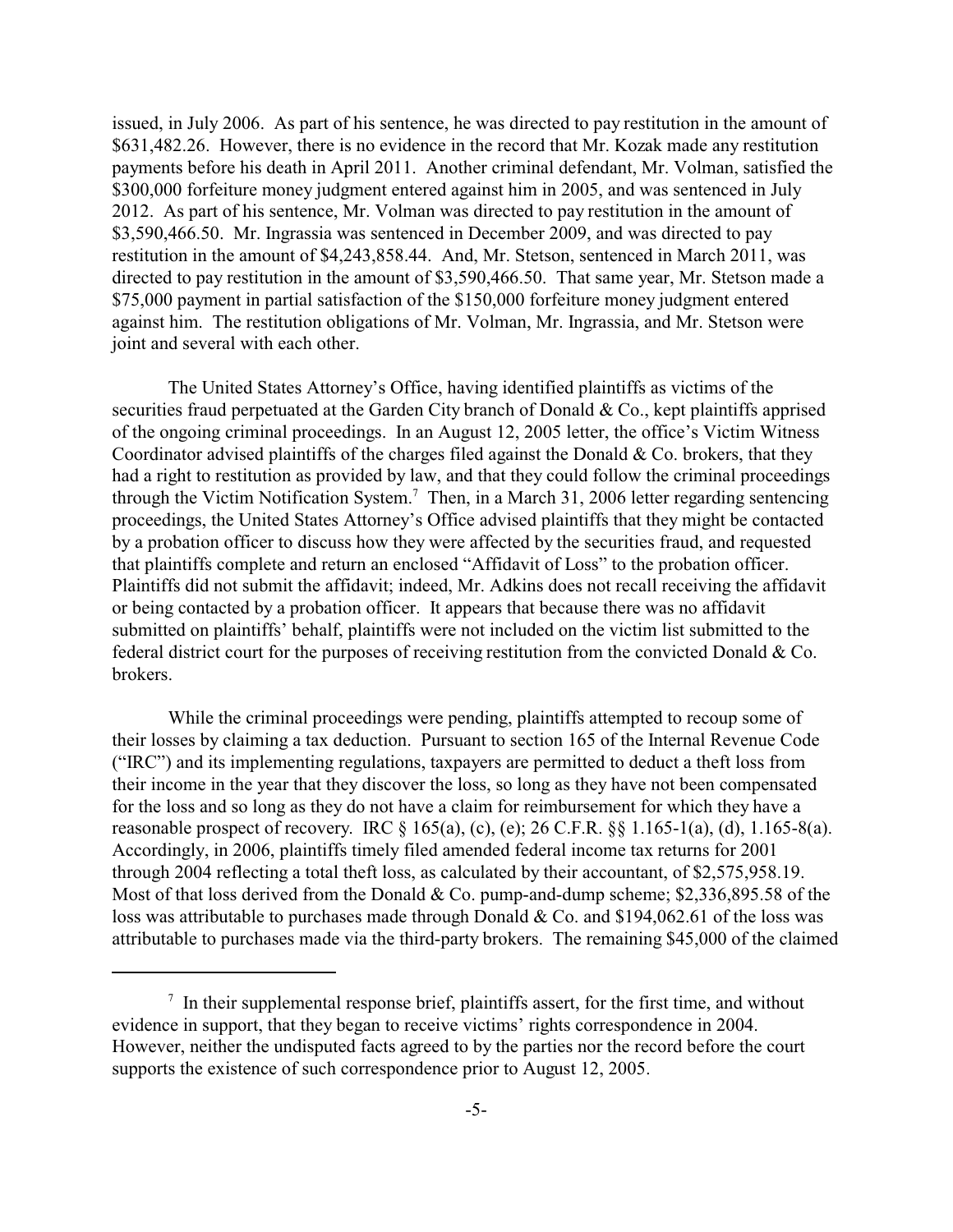issued, in July 2006. As part of his sentence, he was directed to pay restitution in the amount of \$631,482.26. However, there is no evidence in the record that Mr. Kozak made any restitution payments before his death in April 2011. Another criminal defendant, Mr. Volman, satisfied the \$300,000 forfeiture money judgment entered against him in 2005, and was sentenced in July 2012. As part of his sentence, Mr. Volman was directed to pay restitution in the amount of \$3,590,466.50. Mr. Ingrassia was sentenced in December 2009, and was directed to pay restitution in the amount of \$4,243,858.44. And, Mr. Stetson, sentenced in March 2011, was directed to pay restitution in the amount of \$3,590,466.50. That same year, Mr. Stetson made a \$75,000 payment in partial satisfaction of the \$150,000 forfeiture money judgment entered against him. The restitution obligations of Mr. Volman, Mr. Ingrassia, and Mr. Stetson were joint and several with each other.

The United States Attorney's Office, having identified plaintiffs as victims of the securities fraud perpetuated at the Garden City branch of Donald & Co., kept plaintiffs apprised of the ongoing criminal proceedings. In an August 12, 2005 letter, the office's Victim Witness Coordinator advised plaintiffs of the charges filed against the Donald  $& Co.$  brokers, that they had a right to restitution as provided by law, and that they could follow the criminal proceedings through the Victim Notification System.<sup>7</sup> Then, in a March 31, 2006 letter regarding sentencing proceedings, the United States Attorney's Office advised plaintiffs that they might be contacted by a probation officer to discuss how they were affected by the securities fraud, and requested that plaintiffs complete and return an enclosed "Affidavit of Loss" to the probation officer. Plaintiffs did not submit the affidavit; indeed, Mr. Adkins does not recall receiving the affidavit or being contacted by a probation officer. It appears that because there was no affidavit submitted on plaintiffs' behalf, plaintiffs were not included on the victim list submitted to the federal district court for the purposes of receiving restitution from the convicted Donald & Co. brokers.

While the criminal proceedings were pending, plaintiffs attempted to recoup some of their losses by claiming a tax deduction. Pursuant to section 165 of the Internal Revenue Code ("IRC") and its implementing regulations, taxpayers are permitted to deduct a theft loss from their income in the year that they discover the loss, so long as they have not been compensated for the loss and so long as they do not have a claim for reimbursement for which they have a reasonable prospect of recovery. IRC § 165(a), (c), (e); 26 C.F.R. §§ 1.165-1(a), (d), 1.165-8(a). Accordingly, in 2006, plaintiffs timely filed amended federal income tax returns for 2001 through 2004 reflecting a total theft loss, as calculated by their accountant, of \$2,575,958.19. Most of that loss derived from the Donald & Co. pump-and-dump scheme; \$2,336,895.58 of the loss was attributable to purchases made through Donald & Co. and \$194,062.61 of the loss was attributable to purchases made via the third-party brokers. The remaining \$45,000 of the claimed

 $<sup>7</sup>$  In their supplemental response brief, plaintiffs assert, for the first time, and without</sup> evidence in support, that they began to receive victims' rights correspondence in 2004. However, neither the undisputed facts agreed to by the parties nor the record before the court supports the existence of such correspondence prior to August 12, 2005.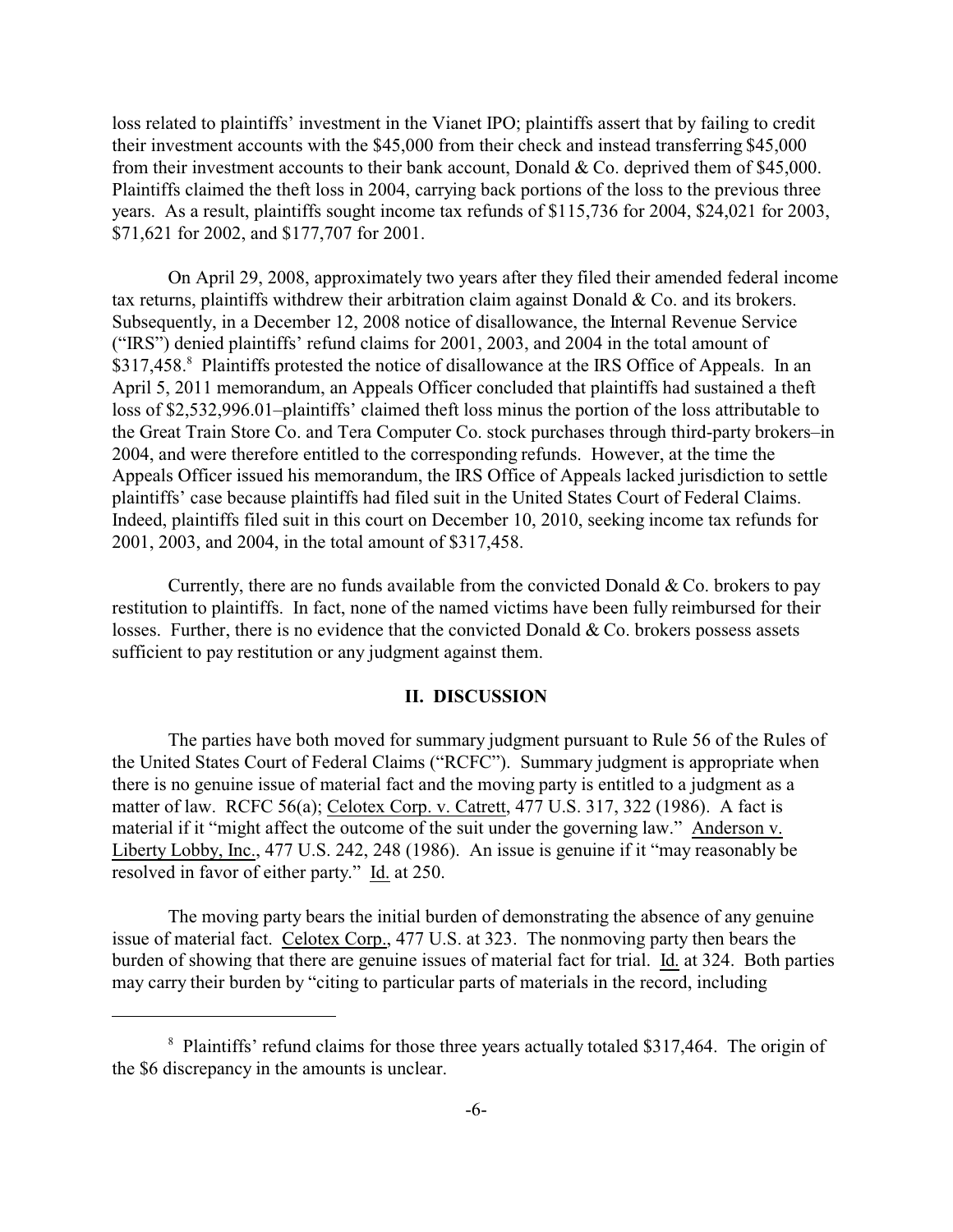loss related to plaintiffs' investment in the Vianet IPO; plaintiffs assert that by failing to credit their investment accounts with the \$45,000 from their check and instead transferring \$45,000 from their investment accounts to their bank account, Donald & Co. deprived them of \$45,000. Plaintiffs claimed the theft loss in 2004, carrying back portions of the loss to the previous three years. As a result, plaintiffs sought income tax refunds of \$115,736 for 2004, \$24,021 for 2003, \$71,621 for 2002, and \$177,707 for 2001.

On April 29, 2008, approximately two years after they filed their amended federal income tax returns, plaintiffs withdrew their arbitration claim against Donald & Co. and its brokers. Subsequently, in a December 12, 2008 notice of disallowance, the Internal Revenue Service ("IRS") denied plaintiffs' refund claims for 2001, 2003, and 2004 in the total amount of \$317,458.8 Plaintiffs protested the notice of disallowance at the IRS Office of Appeals. In an April 5, 2011 memorandum, an Appeals Officer concluded that plaintiffs had sustained a theft loss of \$2,532,996.01–plaintiffs' claimed theft loss minus the portion of the loss attributable to the Great Train Store Co. and Tera Computer Co. stock purchases through third-party brokers–in 2004, and were therefore entitled to the corresponding refunds. However, at the time the Appeals Officer issued his memorandum, the IRS Office of Appeals lacked jurisdiction to settle plaintiffs' case because plaintiffs had filed suit in the United States Court of Federal Claims. Indeed, plaintiffs filed suit in this court on December 10, 2010, seeking income tax refunds for 2001, 2003, and 2004, in the total amount of \$317,458.

Currently, there are no funds available from the convicted Donald  $& Co.$  brokers to pay restitution to plaintiffs. In fact, none of the named victims have been fully reimbursed for their losses. Further, there is no evidence that the convicted Donald & Co. brokers possess assets sufficient to pay restitution or any judgment against them.

#### **II. DISCUSSION**

The parties have both moved for summary judgment pursuant to Rule 56 of the Rules of the United States Court of Federal Claims ("RCFC"). Summary judgment is appropriate when there is no genuine issue of material fact and the moving party is entitled to a judgment as a matter of law. RCFC 56(a); Celotex Corp. v. Catrett, 477 U.S. 317, 322 (1986). A fact is material if it "might affect the outcome of the suit under the governing law." Anderson v. Liberty Lobby, Inc., 477 U.S. 242, 248 (1986). An issue is genuine if it "may reasonably be resolved in favor of either party." Id. at 250.

The moving party bears the initial burden of demonstrating the absence of any genuine issue of material fact. Celotex Corp., 477 U.S. at 323. The nonmoving party then bears the burden of showing that there are genuine issues of material fact for trial. Id. at 324. Both parties may carry their burden by "citing to particular parts of materials in the record, including

<sup>&</sup>lt;sup>8</sup> Plaintiffs' refund claims for those three years actually totaled \$317,464. The origin of the \$6 discrepancy in the amounts is unclear.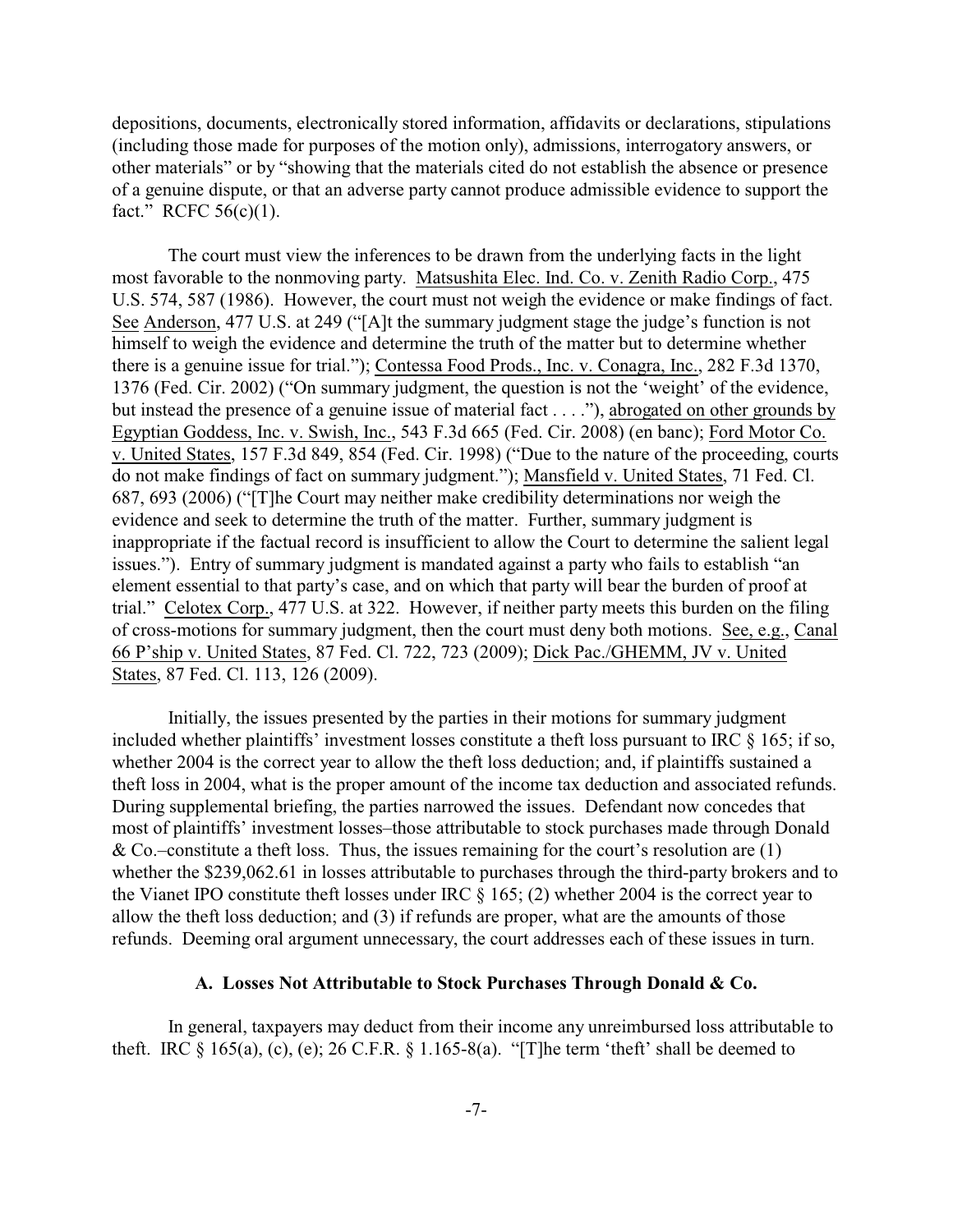depositions, documents, electronically stored information, affidavits or declarations, stipulations (including those made for purposes of the motion only), admissions, interrogatory answers, or other materials" or by "showing that the materials cited do not establish the absence or presence of a genuine dispute, or that an adverse party cannot produce admissible evidence to support the fact." RCFC  $56(c)(1)$ .

The court must view the inferences to be drawn from the underlying facts in the light most favorable to the nonmoving party. Matsushita Elec. Ind. Co. v. Zenith Radio Corp., 475 U.S. 574, 587 (1986). However, the court must not weigh the evidence or make findings of fact. See Anderson, 477 U.S. at 249 ("[A]t the summary judgment stage the judge's function is not himself to weigh the evidence and determine the truth of the matter but to determine whether there is a genuine issue for trial."); Contessa Food Prods., Inc. v. Conagra, Inc., 282 F.3d 1370, 1376 (Fed. Cir. 2002) ("On summary judgment, the question is not the 'weight' of the evidence, but instead the presence of a genuine issue of material fact . . . ."), abrogated on other grounds by Egyptian Goddess, Inc. v. Swish, Inc., 543 F.3d 665 (Fed. Cir. 2008) (en banc); Ford Motor Co. v. United States, 157 F.3d 849, 854 (Fed. Cir. 1998) ("Due to the nature of the proceeding, courts do not make findings of fact on summary judgment."); Mansfield v. United States, 71 Fed. Cl. 687, 693 (2006) ("[T]he Court may neither make credibility determinations nor weigh the evidence and seek to determine the truth of the matter. Further, summary judgment is inappropriate if the factual record is insufficient to allow the Court to determine the salient legal issues."). Entry of summary judgment is mandated against a party who fails to establish "an element essential to that party's case, and on which that party will bear the burden of proof at trial." Celotex Corp., 477 U.S. at 322. However, if neither party meets this burden on the filing of cross-motions for summary judgment, then the court must deny both motions. See, e.g., Canal 66 P'ship v. United States, 87 Fed. Cl. 722, 723 (2009); Dick Pac./GHEMM, JV v. United States, 87 Fed. Cl. 113, 126 (2009).

Initially, the issues presented by the parties in their motions for summary judgment included whether plaintiffs' investment losses constitute a theft loss pursuant to IRC § 165; if so, whether 2004 is the correct year to allow the theft loss deduction; and, if plaintiffs sustained a theft loss in 2004, what is the proper amount of the income tax deduction and associated refunds. During supplemental briefing, the parties narrowed the issues. Defendant now concedes that most of plaintiffs' investment losses–those attributable to stock purchases made through Donald & Co.–constitute a theft loss. Thus, the issues remaining for the court's resolution are  $(1)$ whether the \$239,062.61 in losses attributable to purchases through the third-party brokers and to the Vianet IPO constitute theft losses under IRC § 165; (2) whether 2004 is the correct year to allow the theft loss deduction; and (3) if refunds are proper, what are the amounts of those refunds. Deeming oral argument unnecessary, the court addresses each of these issues in turn.

#### **A. Losses Not Attributable to Stock Purchases Through Donald & Co.**

In general, taxpayers may deduct from their income any unreimbursed loss attributable to theft. IRC  $\S$  165(a), (c), (e); 26 C.F.R.  $\S$  1.165-8(a). "[T]he term 'theft' shall be deemed to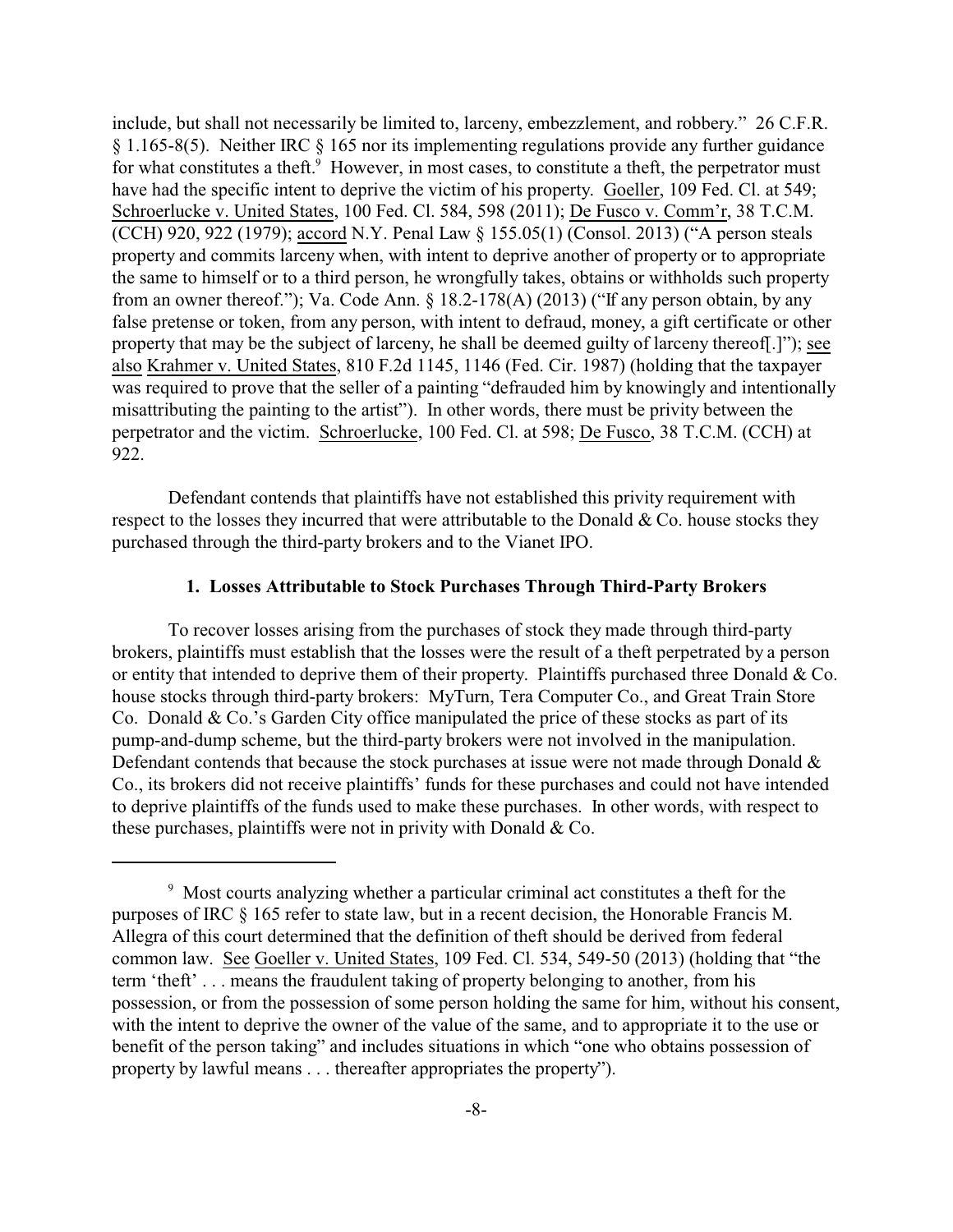include, but shall not necessarily be limited to, larceny, embezzlement, and robbery." 26 C.F.R. § 1.165-8(5). Neither IRC § 165 nor its implementing regulations provide any further guidance for what constitutes a theft.<sup>9</sup> However, in most cases, to constitute a theft, the perpetrator must have had the specific intent to deprive the victim of his property. Goeller, 109 Fed. Cl. at 549; Schroerlucke v. United States, 100 Fed. Cl. 584, 598 (2011); De Fusco v. Comm'r, 38 T.C.M. (CCH) 920, 922 (1979); accord N.Y. Penal Law § 155.05(1) (Consol. 2013) ("A person steals property and commits larceny when, with intent to deprive another of property or to appropriate the same to himself or to a third person, he wrongfully takes, obtains or withholds such property from an owner thereof."); Va. Code Ann.  $\S 18.2-178(A)$  (2013) ("If any person obtain, by any false pretense or token, from any person, with intent to defraud, money, a gift certificate or other property that may be the subject of larceny, he shall be deemed guilty of larceny thereof[.]"); see also Krahmer v. United States, 810 F.2d 1145, 1146 (Fed. Cir. 1987) (holding that the taxpayer was required to prove that the seller of a painting "defrauded him by knowingly and intentionally misattributing the painting to the artist"). In other words, there must be privity between the perpetrator and the victim. Schroerlucke, 100 Fed. Cl. at 598; De Fusco, 38 T.C.M. (CCH) at 922.

Defendant contends that plaintiffs have not established this privity requirement with respect to the losses they incurred that were attributable to the Donald  $& Co.$  house stocks they purchased through the third-party brokers and to the Vianet IPO.

#### **1. Losses Attributable to Stock Purchases Through Third-Party Brokers**

To recover losses arising from the purchases of stock they made through third-party brokers, plaintiffs must establish that the losses were the result of a theft perpetrated by a person or entity that intended to deprive them of their property. Plaintiffs purchased three Donald & Co. house stocks through third-party brokers: MyTurn, Tera Computer Co., and Great Train Store Co. Donald & Co.'s Garden City office manipulated the price of these stocks as part of its pump-and-dump scheme, but the third-party brokers were not involved in the manipulation. Defendant contends that because the stock purchases at issue were not made through Donald & Co., its brokers did not receive plaintiffs' funds for these purchases and could not have intended to deprive plaintiffs of the funds used to make these purchases. In other words, with respect to these purchases, plaintiffs were not in privity with Donald & Co.

<sup>9</sup> Most courts analyzing whether a particular criminal act constitutes a theft for the purposes of IRC § 165 refer to state law, but in a recent decision, the Honorable Francis M. Allegra of this court determined that the definition of theft should be derived from federal common law. See Goeller v. United States, 109 Fed. Cl. 534, 549-50 (2013) (holding that "the term 'theft' . . . means the fraudulent taking of property belonging to another, from his possession, or from the possession of some person holding the same for him, without his consent, with the intent to deprive the owner of the value of the same, and to appropriate it to the use or benefit of the person taking" and includes situations in which "one who obtains possession of property by lawful means . . . thereafter appropriates the property").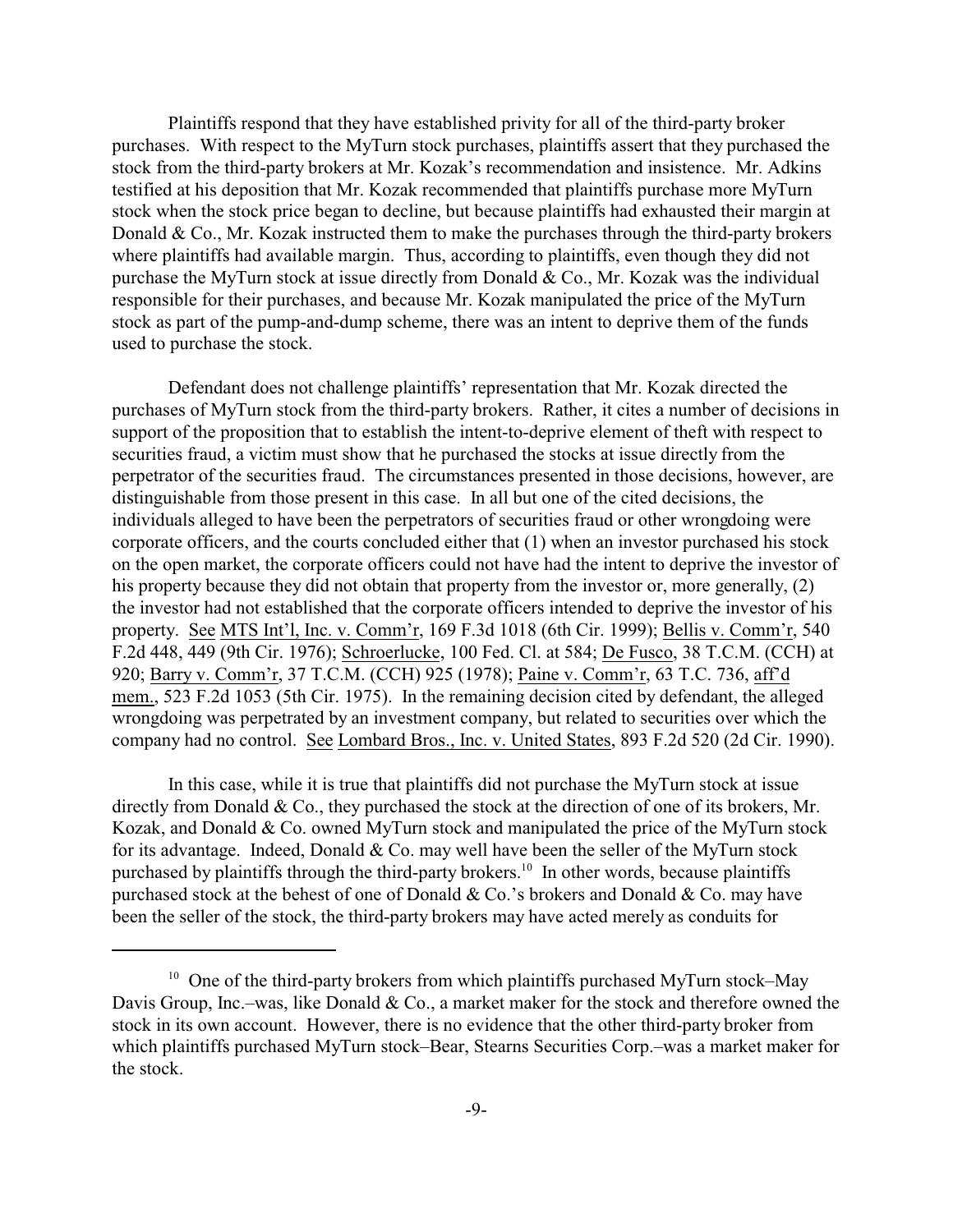Plaintiffs respond that they have established privity for all of the third-party broker purchases. With respect to the MyTurn stock purchases, plaintiffs assert that they purchased the stock from the third-party brokers at Mr. Kozak's recommendation and insistence. Mr. Adkins testified at his deposition that Mr. Kozak recommended that plaintiffs purchase more MyTurn stock when the stock price began to decline, but because plaintiffs had exhausted their margin at Donald  $& Co., Mr. Kozak instructed them to make the purchases through the third-party brokers.$ where plaintiffs had available margin. Thus, according to plaintiffs, even though they did not purchase the MyTurn stock at issue directly from Donald & Co., Mr. Kozak was the individual responsible for their purchases, and because Mr. Kozak manipulated the price of the MyTurn stock as part of the pump-and-dump scheme, there was an intent to deprive them of the funds used to purchase the stock.

Defendant does not challenge plaintiffs' representation that Mr. Kozak directed the purchases of MyTurn stock from the third-party brokers. Rather, it cites a number of decisions in support of the proposition that to establish the intent-to-deprive element of theft with respect to securities fraud, a victim must show that he purchased the stocks at issue directly from the perpetrator of the securities fraud. The circumstances presented in those decisions, however, are distinguishable from those present in this case. In all but one of the cited decisions, the individuals alleged to have been the perpetrators of securities fraud or other wrongdoing were corporate officers, and the courts concluded either that (1) when an investor purchased his stock on the open market, the corporate officers could not have had the intent to deprive the investor of his property because they did not obtain that property from the investor or, more generally, (2) the investor had not established that the corporate officers intended to deprive the investor of his property. See MTS Int'l, Inc. v. Comm'r, 169 F.3d 1018 (6th Cir. 1999); Bellis v. Comm'r, 540 F.2d 448, 449 (9th Cir. 1976); Schroerlucke, 100 Fed. Cl. at 584; De Fusco, 38 T.C.M. (CCH) at 920; Barry v. Comm'r, 37 T.C.M. (CCH) 925 (1978); Paine v. Comm'r, 63 T.C. 736, aff'd mem., 523 F.2d 1053 (5th Cir. 1975). In the remaining decision cited by defendant, the alleged wrongdoing was perpetrated by an investment company, but related to securities over which the company had no control. See Lombard Bros., Inc. v. United States, 893 F.2d 520 (2d Cir. 1990).

In this case, while it is true that plaintiffs did not purchase the MyTurn stock at issue directly from Donald & Co., they purchased the stock at the direction of one of its brokers, Mr. Kozak, and Donald & Co. owned MyTurn stock and manipulated the price of the MyTurn stock for its advantage. Indeed, Donald & Co. may well have been the seller of the MyTurn stock purchased by plaintiffs through the third-party brokers.<sup>10</sup> In other words, because plaintiffs purchased stock at the behest of one of Donald & Co.'s brokers and Donald & Co. may have been the seller of the stock, the third-party brokers may have acted merely as conduits for

<sup>&</sup>lt;sup>10</sup> One of the third-party brokers from which plaintiffs purchased MyTurn stock–May Davis Group, Inc.–was, like Donald & Co., a market maker for the stock and therefore owned the stock in its own account. However, there is no evidence that the other third-party broker from which plaintiffs purchased MyTurn stock–Bear, Stearns Securities Corp.–was a market maker for the stock.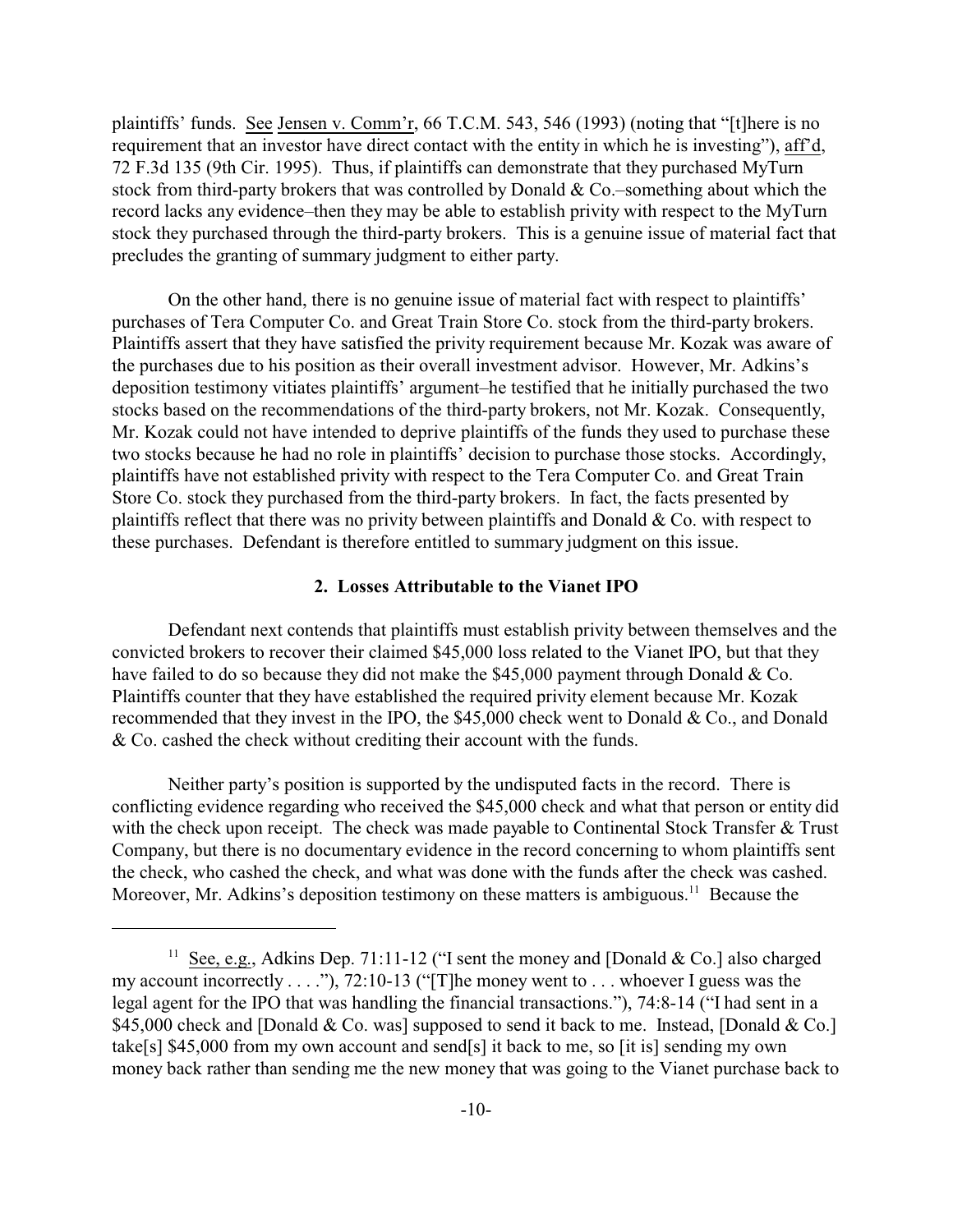plaintiffs' funds. See Jensen v. Comm'r, 66 T.C.M. 543, 546 (1993) (noting that "[t]here is no requirement that an investor have direct contact with the entity in which he is investing"), aff'd, 72 F.3d 135 (9th Cir. 1995). Thus, if plaintiffs can demonstrate that they purchased MyTurn stock from third-party brokers that was controlled by Donald & Co.–something about which the record lacks any evidence–then they may be able to establish privity with respect to the MyTurn stock they purchased through the third-party brokers. This is a genuine issue of material fact that precludes the granting of summary judgment to either party.

On the other hand, there is no genuine issue of material fact with respect to plaintiffs' purchases of Tera Computer Co. and Great Train Store Co. stock from the third-party brokers. Plaintiffs assert that they have satisfied the privity requirement because Mr. Kozak was aware of the purchases due to his position as their overall investment advisor. However, Mr. Adkins's deposition testimony vitiates plaintiffs' argument–he testified that he initially purchased the two stocks based on the recommendations of the third-party brokers, not Mr. Kozak. Consequently, Mr. Kozak could not have intended to deprive plaintiffs of the funds they used to purchase these two stocks because he had no role in plaintiffs' decision to purchase those stocks. Accordingly, plaintiffs have not established privity with respect to the Tera Computer Co. and Great Train Store Co. stock they purchased from the third-party brokers. In fact, the facts presented by plaintiffs reflect that there was no privity between plaintiffs and Donald & Co. with respect to these purchases. Defendant is therefore entitled to summary judgment on this issue.

#### **2. Losses Attributable to the Vianet IPO**

Defendant next contends that plaintiffs must establish privity between themselves and the convicted brokers to recover their claimed \$45,000 loss related to the Vianet IPO, but that they have failed to do so because they did not make the \$45,000 payment through Donald & Co. Plaintiffs counter that they have established the required privity element because Mr. Kozak recommended that they invest in the IPO, the \$45,000 check went to Donald & Co., and Donald & Co. cashed the check without crediting their account with the funds.

Neither party's position is supported by the undisputed facts in the record. There is conflicting evidence regarding who received the \$45,000 check and what that person or entity did with the check upon receipt. The check was made payable to Continental Stock Transfer & Trust Company, but there is no documentary evidence in the record concerning to whom plaintiffs sent the check, who cashed the check, and what was done with the funds after the check was cashed. Moreover, Mr. Adkins's deposition testimony on these matters is ambiguous.<sup>11</sup> Because the

<sup>&</sup>lt;sup>11</sup> See, e.g., Adkins Dep. 71:11-12 ("I sent the money and [Donald & Co.] also charged my account incorrectly . . . ."), 72:10-13 ("[T]he money went to . . . whoever I guess was the legal agent for the IPO that was handling the financial transactions."), 74:8-14 ("I had sent in a \$45,000 check and [Donald & Co. was] supposed to send it back to me. Instead, [Donald & Co.] take[s] \$45,000 from my own account and send[s] it back to me, so [it is] sending my own money back rather than sending me the new money that was going to the Vianet purchase back to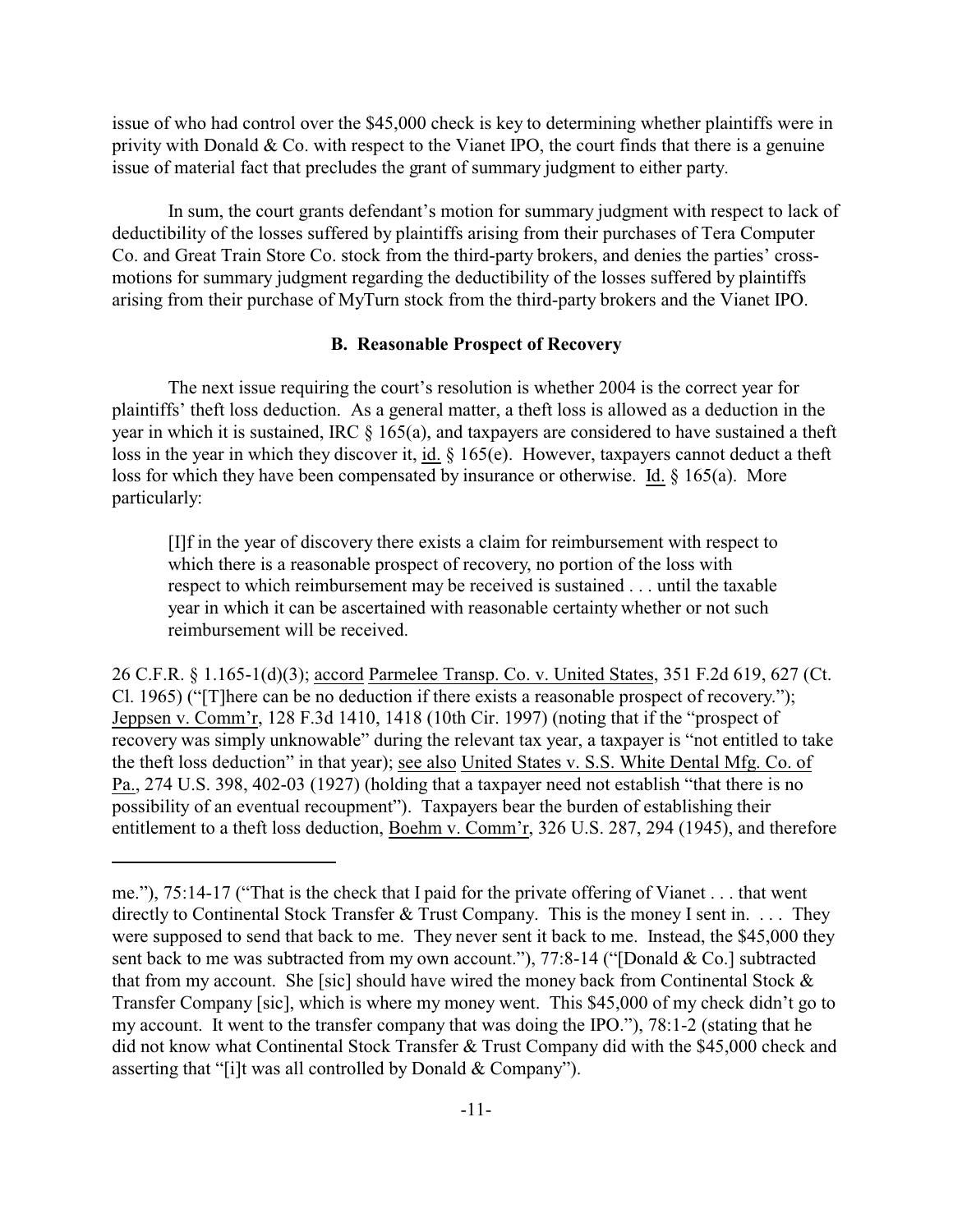issue of who had control over the \$45,000 check is key to determining whether plaintiffs were in privity with Donald  $& Co.$  with respect to the Vianet IPO, the court finds that there is a genuine issue of material fact that precludes the grant of summary judgment to either party.

In sum, the court grants defendant's motion for summary judgment with respect to lack of deductibility of the losses suffered by plaintiffs arising from their purchases of Tera Computer Co. and Great Train Store Co. stock from the third-party brokers, and denies the parties' crossmotions for summary judgment regarding the deductibility of the losses suffered by plaintiffs arising from their purchase of MyTurn stock from the third-party brokers and the Vianet IPO.

## **B. Reasonable Prospect of Recovery**

The next issue requiring the court's resolution is whether 2004 is the correct year for plaintiffs' theft loss deduction. As a general matter, a theft loss is allowed as a deduction in the year in which it is sustained, IRC  $\S$  165(a), and taxpayers are considered to have sustained a theft loss in the year in which they discover it, id. § 165(e). However, taxpayers cannot deduct a theft loss for which they have been compensated by insurance or otherwise. Id. § 165(a). More particularly:

[I]f in the year of discovery there exists a claim for reimbursement with respect to which there is a reasonable prospect of recovery, no portion of the loss with respect to which reimbursement may be received is sustained . . . until the taxable year in which it can be ascertained with reasonable certainty whether or not such reimbursement will be received.

26 C.F.R. § 1.165-1(d)(3); accord Parmelee Transp. Co. v. United States, 351 F.2d 619, 627 (Ct. Cl. 1965) ("[T]here can be no deduction if there exists a reasonable prospect of recovery."); Jeppsen v. Comm'r, 128 F.3d 1410, 1418 (10th Cir. 1997) (noting that if the "prospect of recovery was simply unknowable" during the relevant tax year, a taxpayer is "not entitled to take the theft loss deduction" in that year); see also United States v. S.S. White Dental Mfg. Co. of Pa., 274 U.S. 398, 402-03 (1927) (holding that a taxpayer need not establish "that there is no possibility of an eventual recoupment"). Taxpayers bear the burden of establishing their entitlement to a theft loss deduction, Boehm v. Comm'r, 326 U.S. 287, 294 (1945), and therefore

me."), 75:14-17 ("That is the check that I paid for the private offering of Vianet . . . that went directly to Continental Stock Transfer & Trust Company. This is the money I sent in. . . . They were supposed to send that back to me. They never sent it back to me. Instead, the \$45,000 they sent back to me was subtracted from my own account."), 77:8-14 ("[Donald & Co.] subtracted that from my account. She [sic] should have wired the money back from Continental Stock  $\&$ Transfer Company [sic], which is where my money went. This \$45,000 of my check didn't go to my account. It went to the transfer company that was doing the IPO."), 78:1-2 (stating that he did not know what Continental Stock Transfer & Trust Company did with the \$45,000 check and asserting that "[i]t was all controlled by Donald & Company").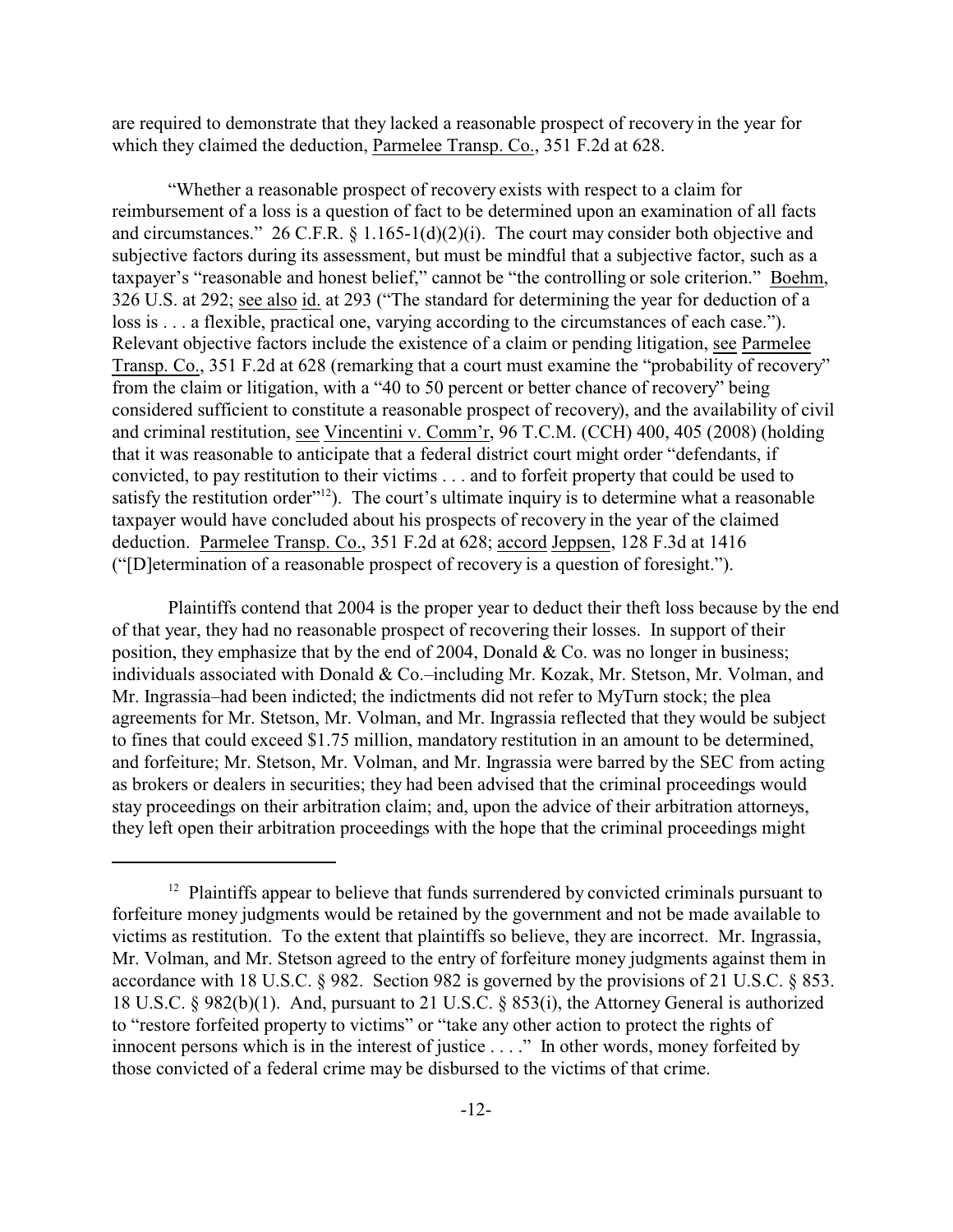are required to demonstrate that they lacked a reasonable prospect of recovery in the year for which they claimed the deduction, Parmelee Transp. Co., 351 F.2d at 628.

"Whether a reasonable prospect of recovery exists with respect to a claim for reimbursement of a loss is a question of fact to be determined upon an examination of all facts and circumstances." 26 C.F.R. § 1.165-1(d)(2)(i). The court may consider both objective and subjective factors during its assessment, but must be mindful that a subjective factor, such as a taxpayer's "reasonable and honest belief," cannot be "the controlling or sole criterion." Boehm, 326 U.S. at 292; see also id. at 293 ("The standard for determining the year for deduction of a loss is . . . a flexible, practical one, varying according to the circumstances of each case."). Relevant objective factors include the existence of a claim or pending litigation, see Parmelee Transp. Co., 351 F.2d at 628 (remarking that a court must examine the "probability of recovery" from the claim or litigation, with a "40 to 50 percent or better chance of recovery" being considered sufficient to constitute a reasonable prospect of recovery), and the availability of civil and criminal restitution, see Vincentini v. Comm'r, 96 T.C.M. (CCH) 400, 405 (2008) (holding that it was reasonable to anticipate that a federal district court might order "defendants, if convicted, to pay restitution to their victims . . . and to forfeit property that could be used to satisfy the restitution order"<sup>12</sup>). The court's ultimate inquiry is to determine what a reasonable taxpayer would have concluded about his prospects of recovery in the year of the claimed deduction. Parmelee Transp. Co., 351 F.2d at 628; accord Jeppsen, 128 F.3d at 1416 ("[D]etermination of a reasonable prospect of recovery is a question of foresight.").

Plaintiffs contend that 2004 is the proper year to deduct their theft loss because by the end of that year, they had no reasonable prospect of recovering their losses. In support of their position, they emphasize that by the end of 2004, Donald & Co. was no longer in business; individuals associated with Donald & Co.–including Mr. Kozak, Mr. Stetson, Mr. Volman, and Mr. Ingrassia–had been indicted; the indictments did not refer to MyTurn stock; the plea agreements for Mr. Stetson, Mr. Volman, and Mr. Ingrassia reflected that they would be subject to fines that could exceed \$1.75 million, mandatory restitution in an amount to be determined, and forfeiture; Mr. Stetson, Mr. Volman, and Mr. Ingrassia were barred by the SEC from acting as brokers or dealers in securities; they had been advised that the criminal proceedings would stay proceedings on their arbitration claim; and, upon the advice of their arbitration attorneys, they left open their arbitration proceedings with the hope that the criminal proceedings might

<sup>&</sup>lt;sup>12</sup> Plaintiffs appear to believe that funds surrendered by convicted criminals pursuant to forfeiture money judgments would be retained by the government and not be made available to victims as restitution. To the extent that plaintiffs so believe, they are incorrect. Mr. Ingrassia, Mr. Volman, and Mr. Stetson agreed to the entry of forfeiture money judgments against them in accordance with 18 U.S.C. § 982. Section 982 is governed by the provisions of 21 U.S.C. § 853. 18 U.S.C. § 982(b)(1). And, pursuant to 21 U.S.C. § 853(i), the Attorney General is authorized to "restore forfeited property to victims" or "take any other action to protect the rights of innocent persons which is in the interest of justice . . . ." In other words, money forfeited by those convicted of a federal crime may be disbursed to the victims of that crime.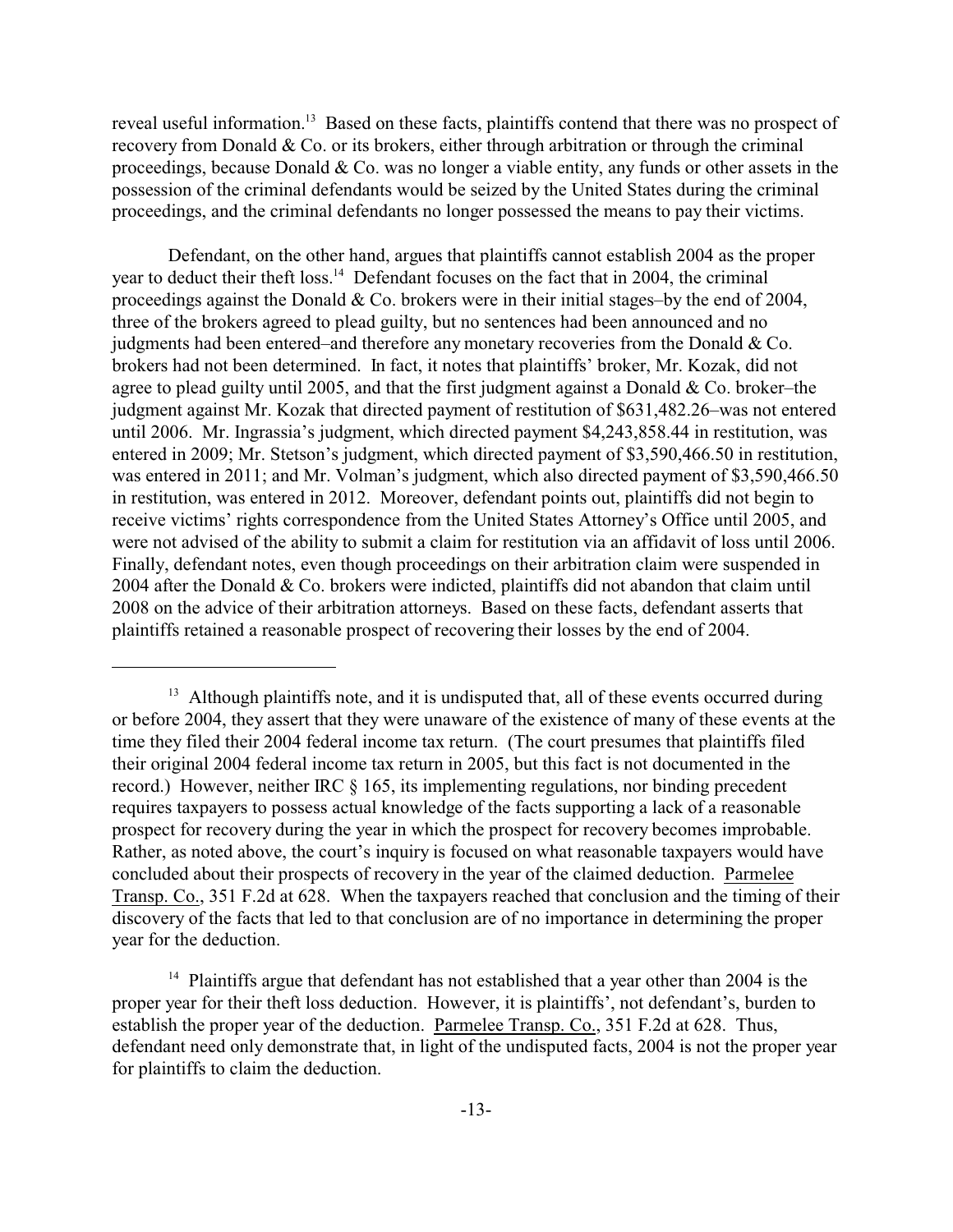reveal useful information.<sup>13</sup> Based on these facts, plaintiffs contend that there was no prospect of recovery from Donald & Co. or its brokers, either through arbitration or through the criminal proceedings, because Donald & Co. was no longer a viable entity, any funds or other assets in the possession of the criminal defendants would be seized by the United States during the criminal proceedings, and the criminal defendants no longer possessed the means to pay their victims.

Defendant, on the other hand, argues that plaintiffs cannot establish 2004 as the proper year to deduct their theft loss.<sup>14</sup> Defendant focuses on the fact that in 2004, the criminal proceedings against the Donald & Co. brokers were in their initial stages–by the end of 2004, three of the brokers agreed to plead guilty, but no sentences had been announced and no judgments had been entered–and therefore any monetary recoveries from the Donald & Co. brokers had not been determined. In fact, it notes that plaintiffs' broker, Mr. Kozak, did not agree to plead guilty until 2005, and that the first judgment against a Donald  $& Co.$  broker–the judgment against Mr. Kozak that directed payment of restitution of \$631,482.26–was not entered until 2006. Mr. Ingrassia's judgment, which directed payment \$4,243,858.44 in restitution, was entered in 2009; Mr. Stetson's judgment, which directed payment of \$3,590,466.50 in restitution, was entered in 2011; and Mr. Volman's judgment, which also directed payment of \$3,590,466.50 in restitution, was entered in 2012. Moreover, defendant points out, plaintiffs did not begin to receive victims' rights correspondence from the United States Attorney's Office until 2005, and were not advised of the ability to submit a claim for restitution via an affidavit of loss until 2006. Finally, defendant notes, even though proceedings on their arbitration claim were suspended in 2004 after the Donald & Co. brokers were indicted, plaintiffs did not abandon that claim until 2008 on the advice of their arbitration attorneys. Based on these facts, defendant asserts that plaintiffs retained a reasonable prospect of recovering their losses by the end of 2004.

<sup>&</sup>lt;sup>13</sup> Although plaintiffs note, and it is undisputed that, all of these events occurred during or before 2004, they assert that they were unaware of the existence of many of these events at the time they filed their 2004 federal income tax return. (The court presumes that plaintiffs filed their original 2004 federal income tax return in 2005, but this fact is not documented in the record.) However, neither IRC § 165, its implementing regulations, nor binding precedent requires taxpayers to possess actual knowledge of the facts supporting a lack of a reasonable prospect for recovery during the year in which the prospect for recovery becomes improbable. Rather, as noted above, the court's inquiry is focused on what reasonable taxpayers would have concluded about their prospects of recovery in the year of the claimed deduction. Parmelee Transp. Co., 351 F.2d at 628. When the taxpayers reached that conclusion and the timing of their discovery of the facts that led to that conclusion are of no importance in determining the proper year for the deduction.

<sup>&</sup>lt;sup>14</sup> Plaintiffs argue that defendant has not established that a year other than 2004 is the proper year for their theft loss deduction. However, it is plaintiffs', not defendant's, burden to establish the proper year of the deduction. Parmelee Transp. Co., 351 F.2d at 628. Thus, defendant need only demonstrate that, in light of the undisputed facts, 2004 is not the proper year for plaintiffs to claim the deduction.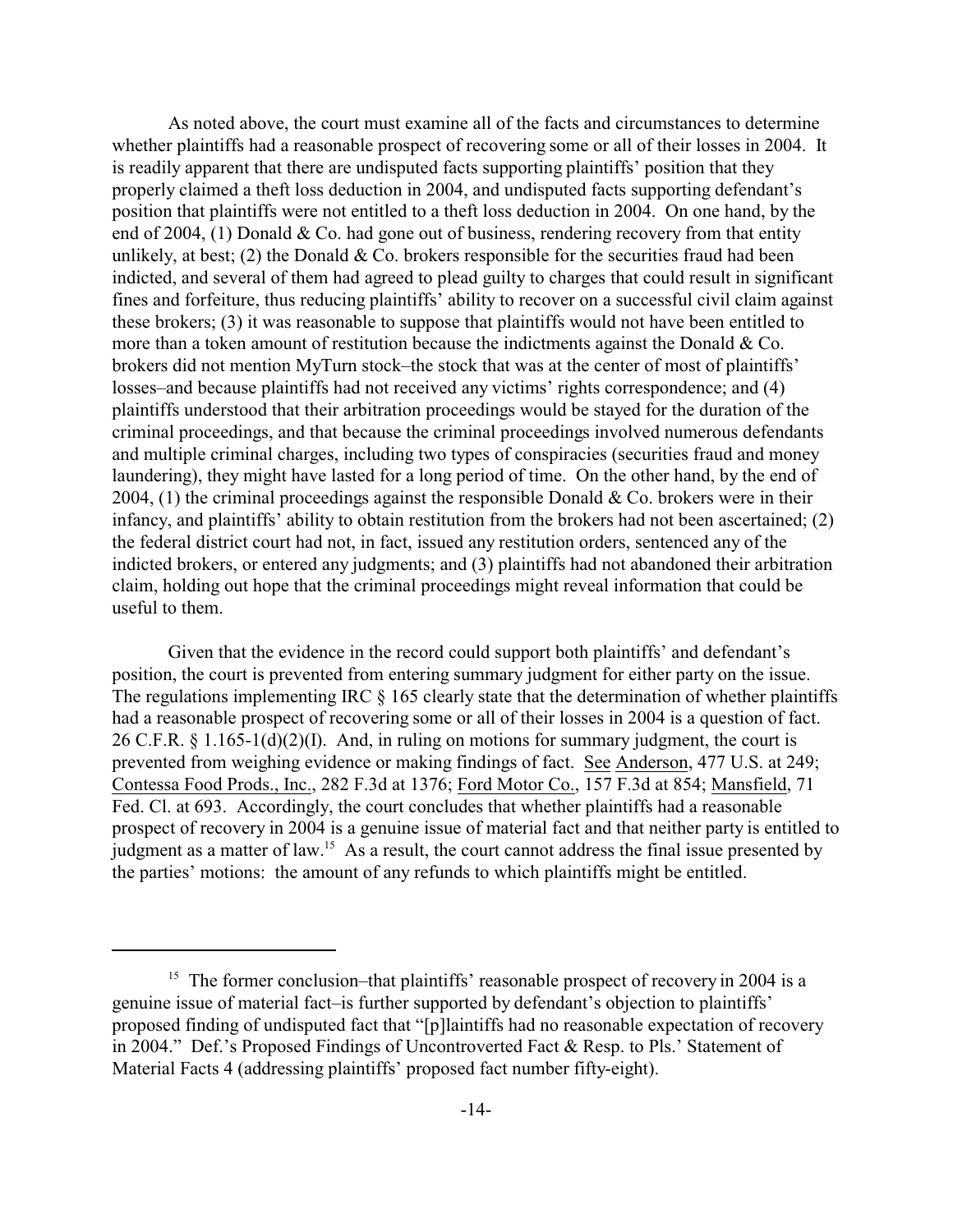As noted above, the court must examine all of the facts and circumstances to determine whether plaintiffs had a reasonable prospect of recovering some or all of their losses in 2004. It is readily apparent that there are undisputed facts supporting plaintiffs' position that they properly claimed a theft loss deduction in 2004, and undisputed facts supporting defendant's position that plaintiffs were not entitled to a theft loss deduction in 2004. On one hand, by the end of 2004, (1) Donald & Co. had gone out of business, rendering recovery from that entity unlikely, at best; (2) the Donald  $& Co.$  brokers responsible for the securities fraud had been indicted, and several of them had agreed to plead guilty to charges that could result in significant fines and forfeiture, thus reducing plaintiffs' ability to recover on a successful civil claim against these brokers; (3) it was reasonable to suppose that plaintiffs would not have been entitled to more than a token amount of restitution because the indictments against the Donald & Co. brokers did not mention MyTurn stock–the stock that was at the center of most of plaintiffs' losses–and because plaintiffs had not received any victims' rights correspondence; and (4) plaintiffs understood that their arbitration proceedings would be stayed for the duration of the criminal proceedings, and that because the criminal proceedings involved numerous defendants and multiple criminal charges, including two types of conspiracies (securities fraud and money laundering), they might have lasted for a long period of time. On the other hand, by the end of 2004, (1) the criminal proceedings against the responsible Donald & Co. brokers were in their infancy, and plaintiffs' ability to obtain restitution from the brokers had not been ascertained; (2) the federal district court had not, in fact, issued any restitution orders, sentenced any of the indicted brokers, or entered any judgments; and (3) plaintiffs had not abandoned their arbitration claim, holding out hope that the criminal proceedings might reveal information that could be useful to them.

Given that the evidence in the record could support both plaintiffs' and defendant's position, the court is prevented from entering summary judgment for either party on the issue. The regulations implementing IRC  $\S$  165 clearly state that the determination of whether plaintiffs had a reasonable prospect of recovering some or all of their losses in 2004 is a question of fact. 26 C.F.R.  $\S 1.165-1(d)(2)(I)$ . And, in ruling on motions for summary judgment, the court is prevented from weighing evidence or making findings of fact. See Anderson, 477 U.S. at 249; Contessa Food Prods., Inc., 282 F.3d at 1376; Ford Motor Co., 157 F.3d at 854; Mansfield, 71 Fed. Cl. at 693. Accordingly, the court concludes that whether plaintiffs had a reasonable prospect of recovery in 2004 is a genuine issue of material fact and that neither party is entitled to judgment as a matter of law.<sup>15</sup> As a result, the court cannot address the final issue presented by the parties' motions: the amount of any refunds to which plaintiffs might be entitled.

<sup>&</sup>lt;sup>15</sup> The former conclusion–that plaintiffs' reasonable prospect of recovery in 2004 is a genuine issue of material fact–is further supported by defendant's objection to plaintiffs' proposed finding of undisputed fact that "[p]laintiffs had no reasonable expectation of recovery in 2004." Def.'s Proposed Findings of Uncontroverted Fact & Resp. to Pls.' Statement of Material Facts 4 (addressing plaintiffs' proposed fact number fifty-eight).